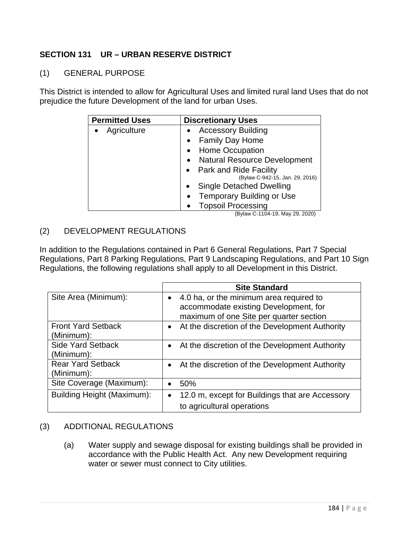## **SECTION 131 UR – URBAN RESERVE DISTRICT**

## (1) GENERAL PURPOSE

This District is intended to allow for Agricultural Uses and limited rural land Uses that do not prejudice the future Development of the land for urban Uses.

| <b>Permitted Uses</b> | <b>Discretionary Uses</b>                        |
|-----------------------|--------------------------------------------------|
| Agriculture           | <b>Accessory Building</b>                        |
|                       | <b>Family Day Home</b>                           |
|                       | <b>Home Occupation</b><br>$\bullet$              |
|                       | <b>Natural Resource Development</b><br>$\bullet$ |
|                       | • Park and Ride Facility                         |
|                       | (Bylaw C-942-15, Jan. 29, 2016)                  |
|                       | <b>Single Detached Dwelling</b><br>$\bullet$     |
|                       | <b>Temporary Building or Use</b><br>$\bullet$    |
|                       | <b>Topsoil Processing</b><br>.                   |

(Bylaw C-1104-19, May 29, 2020)

## (2) DEVELOPMENT REGULATIONS

In addition to the Regulations contained in Part 6 General Regulations, Part 7 Special Regulations, Part 8 Parking Regulations, Part 9 Landscaping Regulations, and Part 10 Sign Regulations, the following regulations shall apply to all Development in this District.

|                                         | <b>Site Standard</b>                                                                                                                     |
|-----------------------------------------|------------------------------------------------------------------------------------------------------------------------------------------|
| Site Area (Minimum):                    | 4.0 ha, or the minimum area required to<br>$\bullet$<br>accommodate existing Development, for<br>maximum of one Site per quarter section |
| <b>Front Yard Setback</b><br>(Minimum): | At the discretion of the Development Authority<br>$\bullet$                                                                              |
| <b>Side Yard Setback</b><br>(Minimum):  | At the discretion of the Development Authority                                                                                           |
| <b>Rear Yard Setback</b><br>(Minimum):  | At the discretion of the Development Authority                                                                                           |
| Site Coverage (Maximum):                | 50%                                                                                                                                      |
| Building Height (Maximum):              | 12.0 m, except for Buildings that are Accessory<br>$\bullet$<br>to agricultural operations                                               |

## (3) ADDITIONAL REGULATIONS

(a) Water supply and sewage disposal for existing buildings shall be provided in accordance with the Public Health Act. Any new Development requiring water or sewer must connect to City utilities.